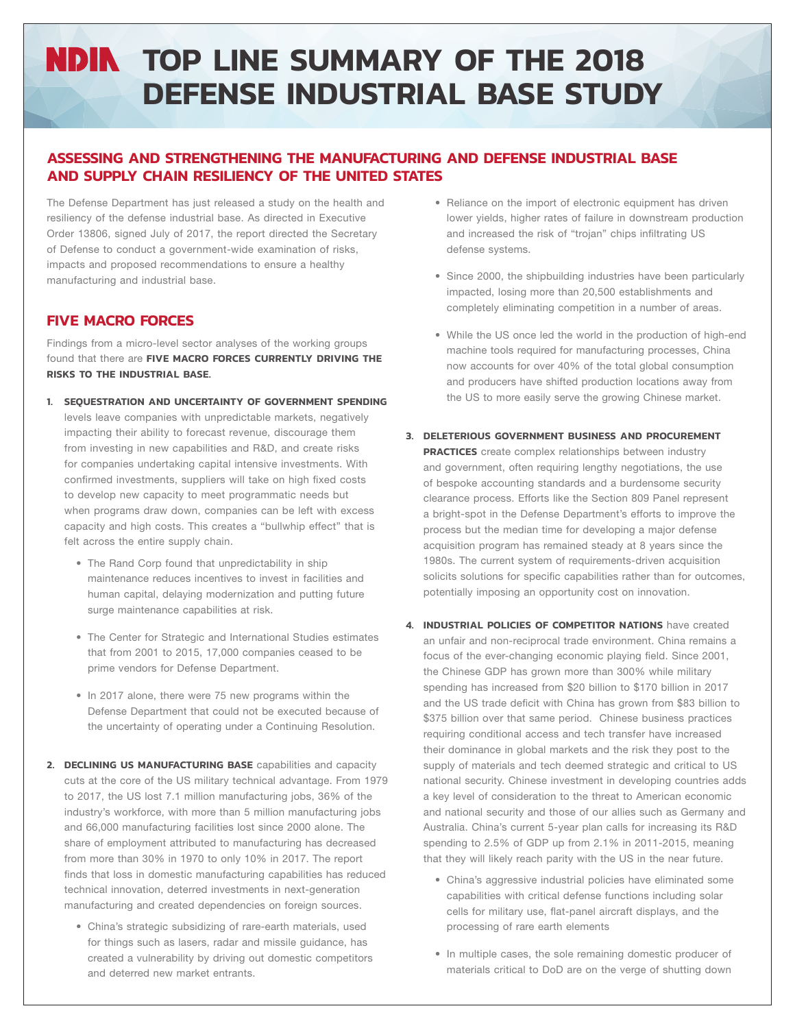# **NDIN TOP LINE SUMMARY OF THE 2018 DEFENSE INDUSTRIAL BASE STUDY**

## **ASSESSING AND STRENGTHENING THE MANUFACTURING AND DEFENSE INDUSTRIAL BASE AND SUPPLY CHAIN RESILIENCY OF THE UNITED STATES**

The Defense Department has just released a study on the health and resiliency of the defense industrial base. As directed in Executive Order 13806, signed July of 2017, the report directed the Secretary of Defense to conduct a government-wide examination of risks, impacts and proposed recommendations to ensure a healthy manufacturing and industrial base.

# **FIVE MACRO FORCES**

Findings from a micro-level sector analyses of the working groups found that there are **FIVE MACRO FORCES CURRENTLY DRIVING THE RISKS TO THE INDUSTRIAL BASE.**

- **1. SEQUESTRATION AND UNCERTAINTY OF GOVERNMENT SPENDING** levels leave companies with unpredictable markets, negatively impacting their ability to forecast revenue, discourage them from investing in new capabilities and R&D, and create risks for companies undertaking capital intensive investments. With confirmed investments, suppliers will take on high fixed costs to develop new capacity to meet programmatic needs but when programs draw down, companies can be left with excess capacity and high costs. This creates a "bullwhip effect" that is felt across the entire supply chain.
	- The Rand Corp found that unpredictability in ship maintenance reduces incentives to invest in facilities and human capital, delaying modernization and putting future surge maintenance capabilities at risk.
	- The Center for Strategic and International Studies estimates that from 2001 to 2015, 17,000 companies ceased to be prime vendors for Defense Department.
	- In 2017 alone, there were 75 new programs within the Defense Department that could not be executed because of the uncertainty of operating under a Continuing Resolution.
- **2. DECLINING US MANUFACTURING BASE** capabilities and capacity cuts at the core of the US military technical advantage. From 1979 to 2017, the US lost 7.1 million manufacturing jobs, 36% of the industry's workforce, with more than 5 million manufacturing jobs and 66,000 manufacturing facilities lost since 2000 alone. The share of employment attributed to manufacturing has decreased from more than 30% in 1970 to only 10% in 2017. The report finds that loss in domestic manufacturing capabilities has reduced technical innovation, deterred investments in next-generation manufacturing and created dependencies on foreign sources.
	- China's strategic subsidizing of rare-earth materials, used for things such as lasers, radar and missile guidance, has created a vulnerability by driving out domestic competitors and deterred new market entrants.
- Reliance on the import of electronic equipment has driven lower yields, higher rates of failure in downstream production and increased the risk of "trojan" chips infiltrating US defense systems.
- Since 2000, the shipbuilding industries have been particularly impacted, losing more than 20,500 establishments and completely eliminating competition in a number of areas.
- While the US once led the world in the production of high-end machine tools required for manufacturing processes, China now accounts for over 40% of the total global consumption and producers have shifted production locations away from the US to more easily serve the growing Chinese market.
- **3. DELETERIOUS GOVERNMENT BUSINESS AND PROCUREMENT PRACTICES** create complex relationships between industry and government, often requiring lengthy negotiations, the use of bespoke accounting standards and a burdensome security clearance process. Efforts like the Section 809 Panel represent a bright-spot in the Defense Department's efforts to improve the process but the median time for developing a major defense acquisition program has remained steady at 8 years since the 1980s. The current system of requirements-driven acquisition solicits solutions for specific capabilities rather than for outcomes, potentially imposing an opportunity cost on innovation.
- **4. INDUSTRIAL POLICIES OF COMPETITOR NATIONS** have created an unfair and non-reciprocal trade environment. China remains a focus of the ever-changing economic playing field. Since 2001, the Chinese GDP has grown more than 300% while military spending has increased from \$20 billion to \$170 billion in 2017 and the US trade deficit with China has grown from \$83 billion to \$375 billion over that same period. Chinese business practices requiring conditional access and tech transfer have increased their dominance in global markets and the risk they post to the supply of materials and tech deemed strategic and critical to US national security. Chinese investment in developing countries adds a key level of consideration to the threat to American economic and national security and those of our allies such as Germany and Australia. China's current 5-year plan calls for increasing its R&D spending to 2.5% of GDP up from 2.1% in 2011-2015, meaning that they will likely reach parity with the US in the near future.
	- China's aggressive industrial policies have eliminated some capabilities with critical defense functions including solar cells for military use, flat-panel aircraft displays, and the processing of rare earth elements
	- In multiple cases, the sole remaining domestic producer of materials critical to DoD are on the verge of shutting down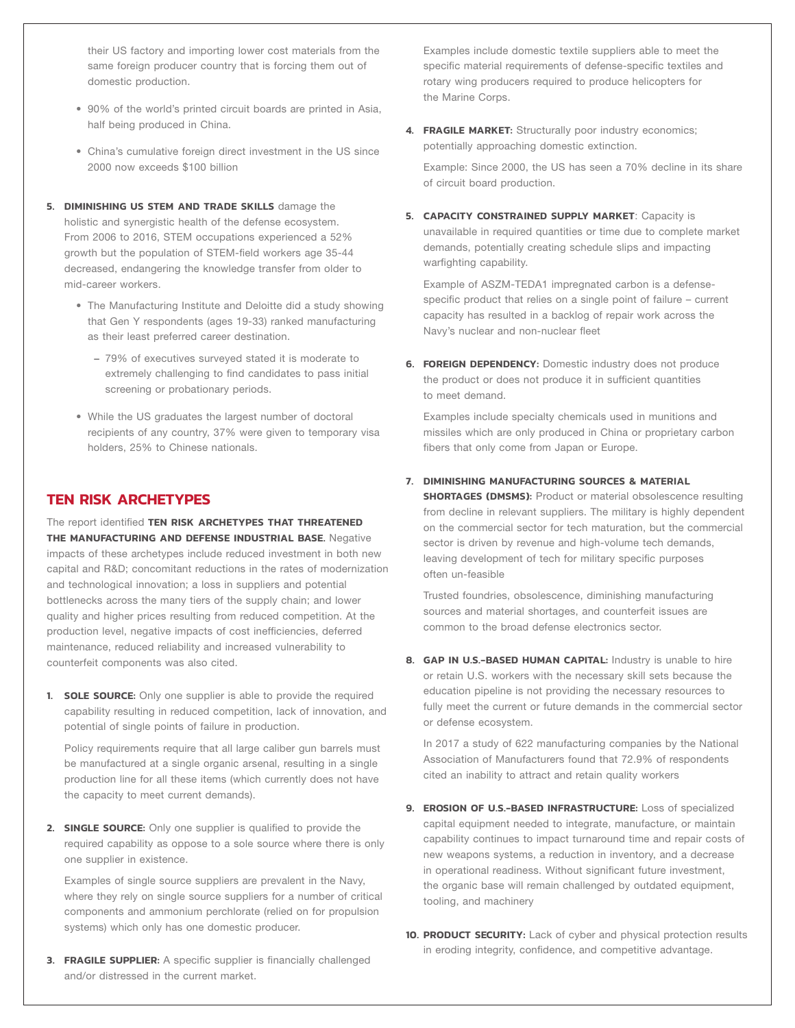their US factory and importing lower cost materials from the same foreign producer country that is forcing them out of domestic production.

- 90% of the world's printed circuit boards are printed in Asia, half being produced in China.
- China's cumulative foreign direct investment in the US since 2000 now exceeds \$100 billion
- **5. DIMINISHING US STEM AND TRADE SKILLS** damage the holistic and synergistic health of the defense ecosystem. From 2006 to 2016, STEM occupations experienced a 52% growth but the population of STEM-field workers age 35-44 decreased, endangering the knowledge transfer from older to mid-career workers.
	- The Manufacturing Institute and Deloitte did a study showing that Gen Y respondents (ages 19-33) ranked manufacturing as their least preferred career destination.
		- − 79% of executives surveyed stated it is moderate to extremely challenging to find candidates to pass initial screening or probationary periods.
	- While the US graduates the largest number of doctoral recipients of any country, 37% were given to temporary visa holders, 25% to Chinese nationals.

## **TEN RISK ARCHETYPES**

The report identified **TEN RISK ARCHETYPES THAT THREATENED THE MANUFACTURING AND DEFENSE INDUSTRIAL BASE.** Negative impacts of these archetypes include reduced investment in both new capital and R&D; concomitant reductions in the rates of modernization and technological innovation; a loss in suppliers and potential bottlenecks across the many tiers of the supply chain; and lower quality and higher prices resulting from reduced competition. At the production level, negative impacts of cost inefficiencies, deferred maintenance, reduced reliability and increased vulnerability to counterfeit components was also cited.

**1. SOLE SOURCE:** Only one supplier is able to provide the required capability resulting in reduced competition, lack of innovation, and potential of single points of failure in production.

Policy requirements require that all large caliber gun barrels must be manufactured at a single organic arsenal, resulting in a single production line for all these items (which currently does not have the capacity to meet current demands).

**2. SINGLE SOURCE:** Only one supplier is qualified to provide the required capability as oppose to a sole source where there is only one supplier in existence.

Examples of single source suppliers are prevalent in the Navy, where they rely on single source suppliers for a number of critical components and ammonium perchlorate (relied on for propulsion systems) which only has one domestic producer.

**3. FRAGILE SUPPLIER:** A specific supplier is financially challenged and/or distressed in the current market.

Examples include domestic textile suppliers able to meet the specific material requirements of defense-specific textiles and rotary wing producers required to produce helicopters for the Marine Corps.

**4. FRAGILE MARKET:** Structurally poor industry economics; potentially approaching domestic extinction.

Example: Since 2000, the US has seen a 70% decline in its share of circuit board production.

**5. CAPACITY CONSTRAINED SUPPLY MARKET**: Capacity is unavailable in required quantities or time due to complete market demands, potentially creating schedule slips and impacting warfighting capability.

Example of ASZM-TEDA1 impregnated carbon is a defensespecific product that relies on a single point of failure – current capacity has resulted in a backlog of repair work across the Navy's nuclear and non-nuclear fleet

**6. FOREIGN DEPENDENCY:** Domestic industry does not produce the product or does not produce it in sufficient quantities to meet demand.

Examples include specialty chemicals used in munitions and missiles which are only produced in China or proprietary carbon fibers that only come from Japan or Europe.

### **7. DIMINISHING MANUFACTURING SOURCES & MATERIAL**

**SHORTAGES (DMSMS):** Product or material obsolescence resulting from decline in relevant suppliers. The military is highly dependent on the commercial sector for tech maturation, but the commercial sector is driven by revenue and high-volume tech demands, leaving development of tech for military specific purposes often un-feasible

Trusted foundries, obsolescence, diminishing manufacturing sources and material shortages, and counterfeit issues are common to the broad defense electronics sector.

**8. GAP IN U.S.-BASED HUMAN CAPITAL:** Industry is unable to hire or retain U.S. workers with the necessary skill sets because the education pipeline is not providing the necessary resources to fully meet the current or future demands in the commercial sector or defense ecosystem.

In 2017 a study of 622 manufacturing companies by the National Association of Manufacturers found that 72.9% of respondents cited an inability to attract and retain quality workers

- **9. EROSION OF U.S.-BASED INFRASTRUCTURE:** Loss of specialized capital equipment needed to integrate, manufacture, or maintain capability continues to impact turnaround time and repair costs of new weapons systems, a reduction in inventory, and a decrease in operational readiness. Without significant future investment, the organic base will remain challenged by outdated equipment, tooling, and machinery
- **10. PRODUCT SECURITY:** Lack of cyber and physical protection results in eroding integrity, confidence, and competitive advantage.